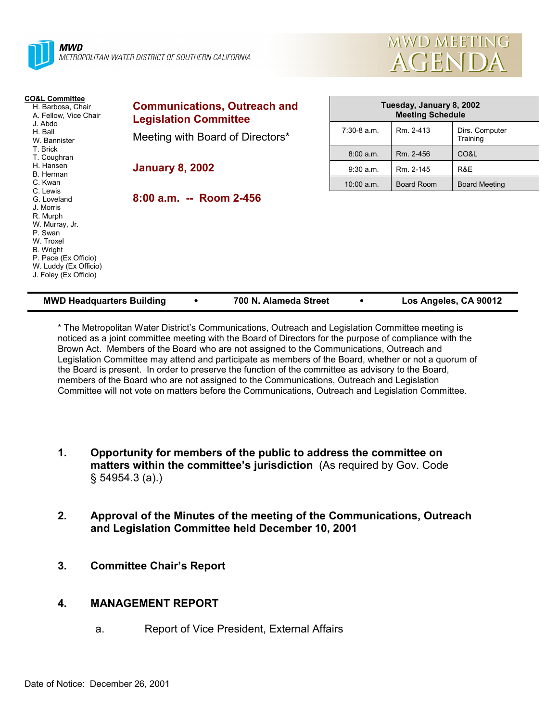



| <b>CO&amp;L Committee</b><br>H. Barbosa, Chair<br>A. Fellow, Vice Chair                                                                                               | <b>Communications, Outreach and</b><br><b>Legislation Committee</b> | Tuesday, January 8, 2002<br><b>Meeting Schedule</b> |                   |                            |
|-----------------------------------------------------------------------------------------------------------------------------------------------------------------------|---------------------------------------------------------------------|-----------------------------------------------------|-------------------|----------------------------|
| J. Abdo<br>H. Ball<br>W. Bannister                                                                                                                                    | Meeting with Board of Directors*                                    | $7:30-8$ a.m.                                       | Rm. 2-413         | Dirs. Computer<br>Training |
| T. Brick<br>T. Coughran                                                                                                                                               |                                                                     | 8:00 a.m.                                           | Rm. 2-456         | CO&L                       |
| H. Hansen<br>B. Herman                                                                                                                                                | <b>January 8, 2002</b>                                              | $9:30$ a.m.                                         | Rm. 2-145         | R&E                        |
| C. Kwan<br>C. Lewis                                                                                                                                                   |                                                                     | $10:00$ a.m.                                        | <b>Board Room</b> | <b>Board Meeting</b>       |
| G. Loveland<br>J. Morris<br>R. Murph<br>W. Murray, Jr.<br>P. Swan<br>W. Troxel<br>B. Wright<br>P. Pace (Ex Officio)<br>W. Luddy (Ex Officio)<br>J. Foley (Ex Officio) | $8:00$ a.m. -- Room 2-456                                           |                                                     |                   |                            |

| <b>MWD Headquarters Building</b> |  | 700 N. Alameda Street |  | Los Angeles, CA 90012 |
|----------------------------------|--|-----------------------|--|-----------------------|
|----------------------------------|--|-----------------------|--|-----------------------|

\* The Metropolitan Water Districtís Communications, Outreach and Legislation Committee meeting is noticed as a joint committee meeting with the Board of Directors for the purpose of compliance with the Brown Act. Members of the Board who are not assigned to the Communications, Outreach and Legislation Committee may attend and participate as members of the Board, whether or not a quorum of the Board is present. In order to preserve the function of the committee as advisory to the Board, members of the Board who are not assigned to the Communications, Outreach and Legislation Committee will not vote on matters before the Communications, Outreach and Legislation Committee.

- **1. Opportunity for members of the public to address the committee on** matters within the committee's jurisdiction (As required by Gov. Code ß 54954.3 (a).)
- **2. Approval of the Minutes of the meeting of the Communications, Outreach and Legislation Committee held December 10, 2001**
- **3. Committee Chairís Report**

#### **4. MANAGEMENT REPORT**

a. Report of Vice President, External Affairs